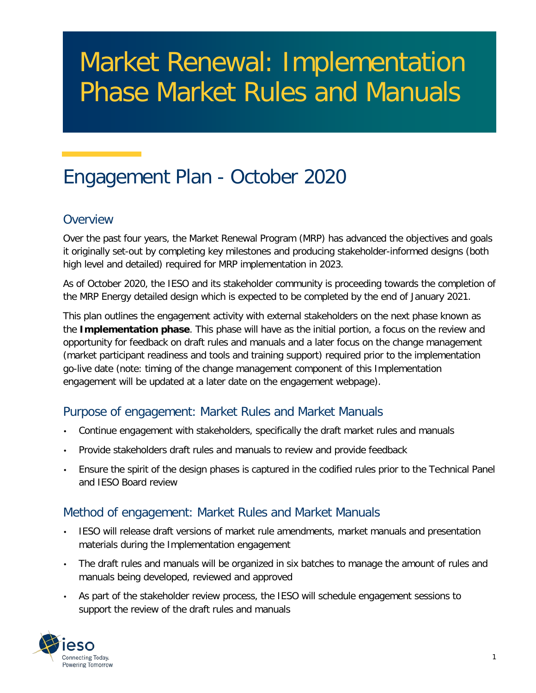# Market Renewal: Implementation Phase Market Rules and Manuals

# Engagement Plan - October 2020

#### **Overview**

Over the past four years, the Market Renewal Program (MRP) has advanced the objectives and goals it originally set-out by completing key milestones and producing stakeholder-informed designs (both high level and detailed) required for MRP implementation in 2023.

As of October 2020, the IESO and its stakeholder community is proceeding towards the completion of the MRP Energy detailed design which is expected to be completed by the end of January 2021.

This plan outlines the engagement activity with external stakeholders on the next phase known as the **Implementation phase**. This phase will have as the initial portion, a focus on the review and opportunity for feedback on draft rules and manuals and a later focus on the change management (market participant readiness and tools and training support) required prior to the implementation go-live date (note: timing of the change management component of this Implementation engagement will be updated at a later date on the engagement webpage).

#### Purpose of engagement: Market Rules and Market Manuals

- Continue engagement with stakeholders, specifically the draft market rules and manuals
- Provide stakeholders draft rules and manuals to review and provide feedback
- Ensure the spirit of the design phases is captured in the codified rules prior to the Technical Panel and IESO Board review

#### Method of engagement: Market Rules and Market Manuals

- IESO will release draft versions of market rule amendments, market manuals and presentation materials during the Implementation engagement
- The draft rules and manuals will be organized in six batches to manage the amount of rules and manuals being developed, reviewed and approved
- As part of the stakeholder review process, the IESO will schedule engagement sessions to support the review of the draft rules and manuals

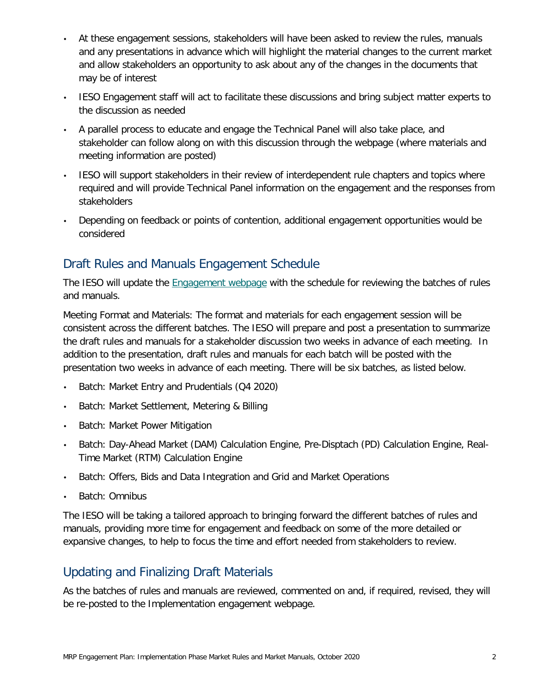- At these engagement sessions, stakeholders will have been asked to review the rules, manuals and any presentations in advance which will highlight the material changes to the current market and allow stakeholders an opportunity to ask about any of the changes in the documents that may be of interest
- IESO Engagement staff will act to facilitate these discussions and bring subject matter experts to the discussion as needed
- A parallel process to educate and engage the Technical Panel will also take place, and stakeholder can follow along on with this discussion through the webpage (where materials and meeting information are posted)
- IESO will support stakeholders in their review of interdependent rule chapters and topics where required and will provide Technical Panel information on the engagement and the responses from stakeholders
- Depending on feedback or points of contention, additional engagement opportunities would be considered

## Draft Rules and Manuals Engagement Schedule

The IESO will update the [Engagement webpage](https://ieso.ca/Market-Renewal/Stakeholder-Engagements/Implementation-Engagement-Market-Rules-and-Market-Manuals) with the schedule for reviewing the batches of rules and manuals.

Meeting Format and Materials: The format and materials for each engagement session will be consistent across the different batches. The IESO will prepare and post a presentation to summarize the draft rules and manuals for a stakeholder discussion two weeks in advance of each meeting. In addition to the presentation, draft rules and manuals for each batch will be posted with the presentation two weeks in advance of each meeting. There will be six batches, as listed below.

- Batch: Market Entry and Prudentials (Q4 2020)
- Batch: Market Settlement, Metering & Billing
- Batch: Market Power Mitigation
- Batch: Day-Ahead Market (DAM) Calculation Engine, Pre-Disptach (PD) Calculation Engine, Real-Time Market (RTM) Calculation Engine
- Batch: Offers, Bids and Data Integration and Grid and Market Operations
- Batch: Omnibus

The IESO will be taking a tailored approach to bringing forward the different batches of rules and manuals, providing more time for engagement and feedback on some of the more detailed or expansive changes, to help to focus the time and effort needed from stakeholders to review.

#### Updating and Finalizing Draft Materials

As the batches of rules and manuals are reviewed, commented on and, if required, revised, they will be re-posted to the Implementation engagement webpage.